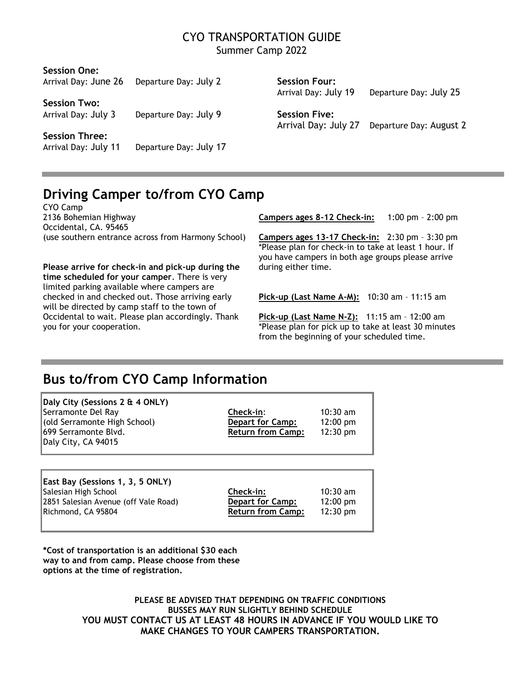#### CYO TRANSPORTATION GUIDE Summer Camp 2022

| Departure Day: July 2  | Session Four:                                | Departure Day: July 25  |
|------------------------|----------------------------------------------|-------------------------|
|                        |                                              |                         |
| Departure Day: July 9  | <b>Session Five:</b><br>Arrival Day: July 27 | Departure Day: August 2 |
|                        |                                              |                         |
| Departure Day: July 17 |                                              |                         |
|                        |                                              | Arrival Day: July 19    |

# **Driving Camper to/from CYO Camp**

CYO Camp 2136 Bohemian Highway **Campers ages 8-12 Check-in:** 1:00 pm – 2:00 pm Occidental, CA. 95465 (use southern entrance across from Harmony School) **Campers ages 13-17 Check-in:** 2:30 pm – 3:30 pm

**Please arrive for check-in and pick-up during the** during either time. **time scheduled for your camper**. There is very limited parking available where campers are checked in and checked out. Those arriving early **Pick-up (Last Name A-M):** 10:30 am – 11:15 am will be directed by camp staff to the town of Occidental to wait. Please plan accordingly. Thank **Pick-up (Last Name N-Z):** 11:15 am – 12:00 am you for your cooperation. \*Please plan for pick up to take at least 30 minutes

\*Please plan for check-in to take at least 1 hour. If you have campers in both age groups please arrive

from the beginning of your scheduled time.

# **Bus to/from CYO Camp Information**

| Daly City (Sessions 2 & 4 ONLY) |                          |                    |
|---------------------------------|--------------------------|--------------------|
| Serramonte Del Ray              | Check-in:                | $10:30$ am         |
| (old Serramonte High School)    | <b>Depart for Camp:</b>  | $12:00 \text{ pm}$ |
| 699 Serramonte Blvd.            | <b>Return from Camp:</b> | $12:30 \text{ pm}$ |
| Daly City, CA 94015             |                          |                    |

| East Bay (Sessions 1, 3, 5 ONLY)     |                          |                    |
|--------------------------------------|--------------------------|--------------------|
| Salesian High School                 | Check-in:                | $10:30$ am         |
| 2851 Salesian Avenue (off Vale Road) | <b>Depart for Camp:</b>  | $12:00 \text{ pm}$ |
| Richmond, CA 95804                   | <b>Return from Camp:</b> | $12:30 \text{ pm}$ |
|                                      |                          |                    |

**\*Cost of transportation is an additional \$30 each way to and from camp. Please choose from these options at the time of registration.**

> **PLEASE BE ADVISED THAT DEPENDING ON TRAFFIC CONDITIONS BUSSES MAY RUN SLIGHTLY BEHIND SCHEDULE YOU MUST CONTACT US AT LEAST 48 HOURS IN ADVANCE IF YOU WOULD LIKE TO MAKE CHANGES TO YOUR CAMPERS TRANSPORTATION.**